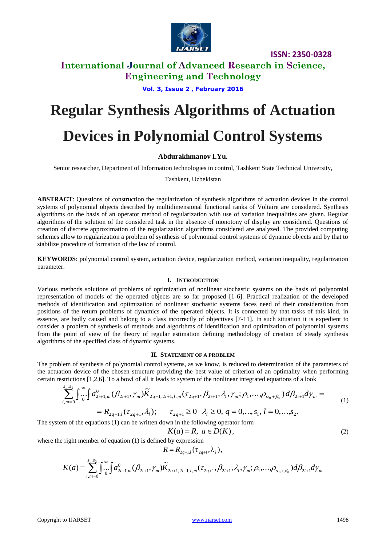

**ISSN: 2350-0328**

## **International Journal of Advanced Research in Science, Engineering and Technology**

**Vol. 3, Issue 2 , February 2016**

# **Regular Synthesis Algorithms of Actuation**

# **Devices in Polynomial Control Systems**

## **Abdurakhmanov I.Yu.**

Senior researcher, Department of Information technologies in control, Tashkent State Technical University,

Tashkent, Uzbekistan

**ABSTRACT**: Questions of construction the regularization of synthesis algorithms of actuation devices in the control systems of polynomial objects described by multidimensional functional ranks of Voltaire are considered. Synthesis algorithms on the basis of an operator method of regularization with use of variation inequalities are given. Regular algorithms of the solution of the considered task in the absence of monotony of display are considered. Questions of creation of discrete approximation of the regularization algorithms considered are analyzed. The provided computing schemes allow to regularization a problem of synthesis of polynomial control systems of dynamic objects and by that to stabilize procedure of formation of the law of control.

**KEYWORDS**: polynomial control system, actuation device, regularization method, variation inequality, regularization parameter.

### **I. INTRODUCTION**

Various methods solutions of problems of optimization of nonlinear stochastic systems on the basis of polynomial representation of models of the operated objects are so far proposed [1-6]. Practical realization of the developed methods of identification and optimization of nonlinear stochastic systems faces need of their consideration from positions of the return problems of dynamics of the operated objects. It is connected by that tasks of this kind, in essence, are badly caused and belong to a class incorrectly of objectives [7-11]. In such situation it is expedient to consider a problem of synthesis of methods and algorithms of identification and optimization of polynomial systems from the point of view of the theory of regular estimation defining methodology of creation of steady synthesis algorithms of the specified class of dynamic systems.

#### **II. STATEMENT OF A PROBLEM**

The problem of synthesis of polynomial control systems, as we know, is reduced to determination of the parameters of the actuation device of the chosen structure providing the best value of criterion of an optimality when performing certain restrictions [1,2,6]. To a bowl of all it leads to system of the nonlinear integrated equations of a look

surctions [1,2,6]. To a bowl of all it leads to system of the nonlinear integrated equations of a look  
\n
$$
\sum_{i,m=0}^{s_1,s_2} \int_{0}^{\infty} \int a_{2i+1,m}^0(\beta_{2i+1}, \gamma_m) \widetilde{K}_{2q+1,2i+1,l,m}(\tau_{2q+1}, \beta_{2i+1}, \lambda_l, \gamma_m; \rho_1, \ldots, \rho_{\alpha_0+\beta_0}) d\beta_{2i+1} d\gamma_m =
$$
\n
$$
= R_{2q+1,l}(\tau_{2q+1}, \lambda_l); \quad \tau_{2q+1} \ge 0 \quad \lambda_l \ge 0, q = 0, \ldots, s_1, l = 0, \ldots, s_2.
$$
\nIn the equations (1) can be written down in the following operator form

The system of the equations (1) can be written down in the following operator form

$$
K(a) = R, \ a \in D(K), \tag{2}
$$

where the right member of equation (1) is defined by expression

$$
R = R_{2q+1,l}(\tau_{2q+1}, \lambda_l),
$$

$$
K(a) = \sum_{i,m=0}^{s_1,s_2} \int_{0}^{\infty} \int a_{2i+1,m}^0(\beta_{2i+1}, \gamma_m) \widetilde{K}_{2q+1,2i+1,l,m}(\tau_{2q+1}, \beta_{2i+1}, \lambda_i, \gamma_m; \rho_1, \ldots, \rho_{\alpha_0+\beta_0}) d\beta_{2i+1} d\gamma_m
$$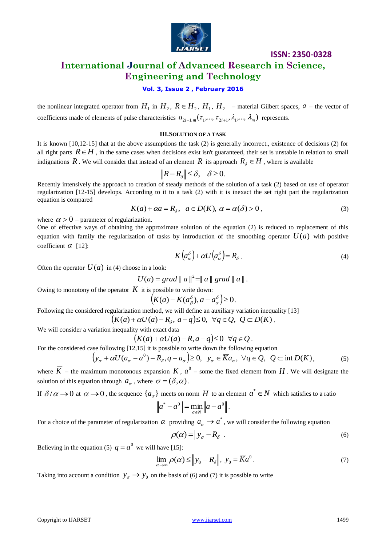

## **ISSN: 2350-0328**

## **International Journal of Advanced Research in Science, Engineering and Technology**

## **Vol. 3, Issue 2 , February 2016**

the nonlinear integrated operator from  $H_1$  in  $H_2$ ,  $R \in H_2$ ,  $H_1$ ,  $H_2$  – material Gilbert spaces,  $a$  – the vector of coefficients made of elements of pulse characteristics  $a_{2i+1,m}(\tau_1,...,\tau_{2i+1},\lambda_1,...,\lambda_m)$  represents.

#### **III.SOLUTION OF A TASK**

It is known [10,12-15] that at the above assumptions the task (2) is generally incorrect., existence of decisions (2) for all right parts  $R \in H$ , in the same cases when decisions exist isn't guaranteed, their set is unstable in relation to small indignations R. We will consider that instead of an element R its approach  $R_{\delta} \in H$  , where is available

$$
||R - R_{\delta}|| \leq \delta, \quad \delta \geq 0.
$$

Recently intensively the approach to creation of steady methods of the solution of a task (2) based on use of operator regularization [12-15] develops. According to it to a task (2) with it is inexact the set right part the regularization equation is compared

$$
K(a) + \alpha a = R_{\delta}, \quad a \in D(K), \ \alpha = \alpha(\delta) > 0 \,, \tag{3}
$$

where  $\alpha > 0$  – parameter of regularization.

One of effective ways of obtaining the approximate solution of the equation (2) is reduced to replacement of this equation with family the regularization of tasks by introduction of the smoothing operator  $U(a)$  with positive coefficient  $\alpha$  [12]:

$$
K\left(a_{\alpha}^{\delta}\right) + \alpha U\left(a_{\alpha}^{\delta}\right) = R_{\delta} \,. \tag{4}
$$

Often the operator  $U(a)$  in (4) choose in a look:

 $U(a) = grad || a ||^2 = || a || grad || a ||.$ 

Owing to monotony of the operator  $K$  it is possible to write down:

$$
\left(K(a) - K(a^{\delta}_{\beta}), a - a^{\delta}_{\alpha}\right) \geq 0.
$$

Following the considered regularization method, we will define an auxiliary variation inequality [13]

$$
(K(a)+\alpha U(a)-R_{\delta},\,a-q)\leq 0,\ \forall q\in Q,\ Q\subset D(K).
$$

We will consider a variation inequality with exact data

$$
(K(a) + \alpha U(a) - R, a - q) \le 0 \ \forall q \in Q.
$$

For the considered case following [12,15] it is possible to write down the following equation

$$
\left(y_{\sigma} + \alpha U(a_{\sigma} - a^0) - R_{\delta}, q - a_{\sigma}\right) \ge 0, \ \ y_{\sigma} \in \overline{K}a_{\sigma}, \ \forall q \in \mathcal{Q}, \ \ \mathcal{Q} \subset \text{int } D(K), \tag{5}
$$

where  $\overline{K}$  – the maximum monotonous expansion  $K$ ,  $a^0$  – some the fixed element from  $H$ . We will designate the solution of this equation through  $a_{\sigma}$ , where  $\sigma = (\delta, \alpha)$ .

If  $\delta/\alpha \to 0$  at  $\alpha \to 0$ , the sequence  $\{a_{\sigma}\}\$  meets on norm  $H$  to an element  $a^* \in N$  which satisfies to a ratio

$$
\|a^* - a^0\| = \min_{a \in N} \|a - a^0\|.
$$

For a choice of the parameter of regularization  $\alpha$  providing  $a_{\sigma} \to a^*$ , we will consider the following equation

$$
\rho(\alpha) = \|y_{\sigma} - R_{\delta}\|.\tag{6}
$$

Believing in the equation (5)  $q = a^0$  we will have [15]:

$$
\lim_{\alpha \to \infty} \rho(\alpha) \le ||y_0 - R_{\delta}||, \ y_0 = \overline{K}a^0.
$$
\n(7)

Taking into account a condition  $y_{\sigma} \rightarrow y_0$  on the basis of (6) and (7) it is possible to write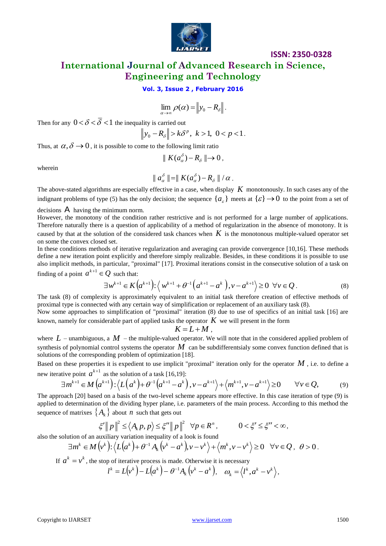

# **ISSN: 2350-0328 International Journal of Advanced Research in Science, Engineering and Technology**

**Vol. 3, Issue 2 , February 2016**

$$
\lim_{\alpha\to\infty}\rho(\alpha)=\left\|y_0-R_{\delta}\right\|.
$$

Then for any  $0 < \delta < \delta < 1$  the inequality is carried out

$$
\|y_0 - R_{\delta}\| > k\delta^p, \ k > 1, \ 0 < p < 1.
$$

Thus, at  $\alpha, \delta \rightarrow 0$ , it is possible to come to the following limit ratio

$$
\parallel K(a^{\delta}_{\alpha})-R_{\delta}\parallel\to 0\,,
$$

wherein

$$
\parallel a_{\alpha}^{\delta}\parallel=\parallel K(a_{\alpha}^{\delta})-R_{\delta}\parallel/\alpha.
$$

The above-stated algorithms are especially effective in a case, when display *K* monotonously. In such cases any of the indignant problems of type (5) has the only decision; the sequence  $\{a_{\varepsilon}\}\)$  meets at  $\{\varepsilon\}\to 0$  to the point from a set of

decisions A having the minimum norm.

However, the monotony of the condition rather restrictive and is not performed for a large number of applications. Therefore naturally there is a question of applicability of a method of regularization in the absence of monotony. It is caused by that at the solution of the considered task chances when  $K$  is the monotonous multiple-valued operator set on some the convex closed set.

In these conditions methods of iterative regularization and averaging can provide convergence [10,16]. These methods define a new iteration point explicitly and therefore simply realizable. Besides, in these conditions it is possible to use also implicit methods, in particular, "proximal" [17]. Proximal iterations consist in the consecutive solution of a task on finding of a point  $a^{k+1} \in Q$  such that:

$$
\exists w^{k+1} \in K\big(a^{k+1}\big) : \left\langle w^{k+1} + \theta^{-1}\big(a^{k+1} - a^k\big), v - a^{k+1}\right\rangle \ge 0 \ \ \forall v \in \mathcal{Q} \,.
$$

The task (8) of complexity is approximately equivalent to an initial task therefore creation of effective methods of proximal type is connected with any certain way of simplification or replacement of an auxiliary task (8).

Now some approaches to simplification of "proximal" iteration (8) due to use of specifics of an initial task [16] are known, namely for considerable part of applied tasks the operator  $K$  we will present in the form

$$
K=L+M,
$$

where  $L$  – unambiguous, a  $M$  – the multiple-valued operator. We will note that in the considered applied problem of synthesis of polynomial control systems the operator  $M$  can be subdifferentsialy some convex function defined that is solutions of the corresponding problem of optimization [18].

Based on these properties it is expedient to use implicit "proximal" iteration only for the operator M, i.e. to define a new iterative point  $a^{k+1}$  as the solution of a task [16,19]:

$$
\exists m^{k+1} \in M\left(a^{k+1}\right) : \left\langle L\left(a^k\right) + \theta^{-1}\left(a^{k+1} - a^k\right), \nu - a^{k+1}\right\rangle + \left\langle m^{k+1}, \nu - a^{k+1}\right\rangle \ge 0 \qquad \forall \nu \in \mathcal{Q},\tag{9}
$$

The approach [20] based on a basis of the two-level scheme appears more effective. In this case iteration of type (9) is applied to determination of the dividing hyper plane, i.e. parameters of the main process. According to this method the sequence of matrixes  $\{A_k\}$  about  $n$  such that gets out

$$
\xi' \| p \|^2 \le \langle A_k p, p \rangle \le \xi'' \| p \|^2 \quad \forall p \in R^n, \qquad 0 < \xi' \le \xi'' < \infty,
$$

also the solution of an auxiliary variation inequality of a look is found

$$
\exists m^k \in M(v^k): \langle L(a^k) + \theta^{-1} A_k (v^k - a^k), v - v^k \rangle + \langle m^k, v - v^k \rangle \ge 0 \quad \forall v \in Q, \ \theta > 0.
$$

If 
$$
a^k = v^k
$$
, the stop of iterative process is made. Otherwise it is necessary  
\n
$$
l^k = L(v^k) - L(a^k) - \theta^{-1} A_k (v^k - a^k), \quad \omega_k = \langle l^k, a^k - v^k \rangle,
$$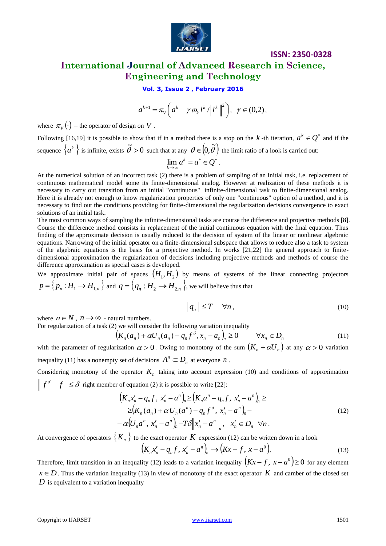

# **ISSN: 2350-0328 International Journal of Advanced Research in Science, Engineering and Technology**

**Vol. 3, Issue 2 , February 2016**

$$
a^{k+1} = \pi_V \left( a^k - \gamma \omega_k l^k / \| l^k \|^2 \right), \ \gamma \in (0, 2),
$$

where  $\pi_{V}(\cdot)$  – the operator of design on V.

Following [16,19] it is possible to show that if in a method there is a stop on the k-th iteration,  $a^k \in Q^*$  and if the sequence  $\{a^k\}$  is infinite, exists  $\tilde{\theta} > 0$  such that at any  $\theta \in (0, \tilde{\theta})$  the limit ratio of a look is carried out:

$$
\lim_{k\to\infty} a^k = a^* \in Q^*.
$$

At the numerical solution of an incorrect task (2) there is a problem of sampling of an initial task, i.e. replacement of continuous mathematical model some its finite-dimensional analog. However at realization of these methods it is necessary to carry out transition from an initial "continuous" infinite-dimensional task to finite-dimensional analog. Here it is already not enough to know regularization properties of only one "continuous" option of a method, and it is necessary to find out the conditions providing for finite-dimensional the regularization decisions convergence to exact solutions of an initial task.

where  $\pi_n(\cdot)$  the energy of  $a^{n-1} = \pi_n/a^2 - y \alpha_n t^2 / k^2 \Big[ \Big]_+^n \times \pi(0.2)$ .<br>
Following 10.191 at is possible to show that if is a ancilled three is a sequent to k-th increasion,  $a^k \in Q^*$  and if the copies  $\{a^k\}$  is The most common ways of sampling the infinite-dimensional tasks are course the difference and projective methods [8]. Course the difference method consists in replacement of the initial continuous equation with the final equation. Thus finding of the approximate decision is usually reduced to the decision of system of the linear or nonlinear algebraic equations. Narrowing of the initial operator on a finite-dimensional subspace that allows to reduce also a task to system of the algebraic equations is the basis for a projective method. In works [21,22] the general approach to finitedimensional approximation the regularization of decisions including projective methods and methods of course the difference approximation as special cases is developed.

We approximate initial pair of spaces  $(H_1, H_2)$  by means of systems of the linear connecting projectors  $p = \left\{p_n : H_1 \to H_{1,n} \right\}$  and  $q = \left\{q_n : H_2 \to H_{2,n} \right\}$ , we will believe thus that

$$
\|q_n\| \le T \quad \forall n,\tag{10}
$$

where  $n \in N$ ,  $n \to \infty$  - natural numbers.

For regularization of a task (2) we will consider the following variation inequality

$$
\left(K_n(a_n) + \alpha U_n(a_n) - q_n f^{\delta}, x_n - a_n\right)_n \ge 0 \qquad \forall x_n \in D_n \tag{11}
$$

with the parameter of regularization  $\alpha > 0$ . Owing to monotony of the sum  $(K_n + \alpha U_n)$  at any  $\alpha > 0$  variation inequality (11) has a nonempty set of decisions  $A^n \subset D_n$  at everyone *n*.

Considering monotony of the operator  $K_n$  taking into account expression (10) and conditions of approximation  $f^{\delta} - f \leq \delta$  right member of equation (2) it is possible to write [22]:

$$
\begin{split}\n&\left(K_{n}x'_{n}-q_{n}f, x'_{n}-a^{n}\right)_{n} \geq \left(K_{n}a^{n}-q_{n}f, x'_{n}-a^{n}\right)_{n} \geq \\
&\geq \left(K_{n}(a_{n})+\alpha U_{n}(a^{n})-q_{n}f^{\delta}, x'_{n}-a^{n}\right)_{n} - \\
&-\alpha \left(U_{n}a^{n}, x'_{n}-a^{n}\right)_{n} - T\delta\left\|x'_{n}-a^{n}\right\|_{n}, \quad x'_{n} \in D_{n} \quad \forall n \,.\n\end{split} \tag{12}
$$

At convergence of operators  $\{K_n\}$  to the exact operator  $K$  expression (12) can be written down in a look

$$
\left(K_n x'_n - q_n f, x'_n - a^n\right)_n \to \left(Kx - f, x - a^0\right).
$$
\n(13)

Therefore, limit transition in an inequality (12) leads to a variation inequality  $(Kx - f, x - a^0) \ge 0$  for any element  $x \in D$ . Thus the variation inequality (13) in view of monotony of the exact operator  $K$  and camber of the closed set *D* is equivalent to a variation inequality